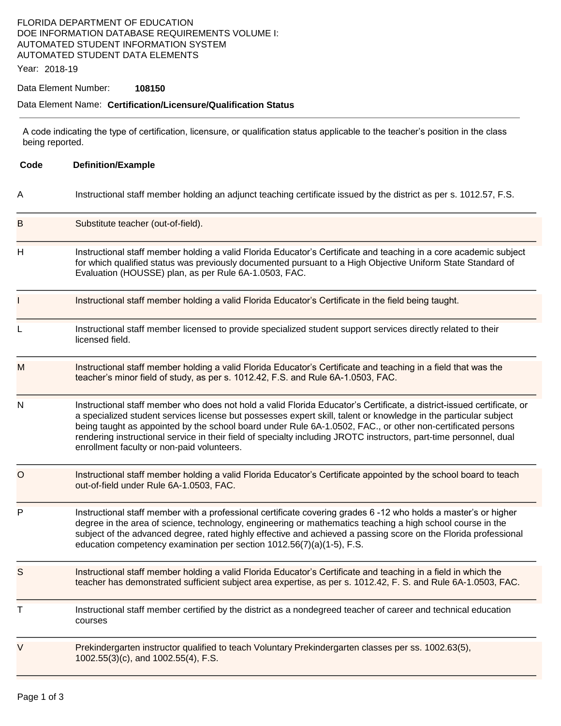# FLORIDA DEPARTMENT OF EDUCATION DOE INFORMATION DATABASE REQUIREMENTS VOLUME I: AUTOMATED STUDENT INFORMATION SYSTEM AUTOMATED STUDENT DATA ELEMENTS

Year: 2018-19

#### Data Element Number: **108150**

## Data Element Name: **Certification/Licensure/Qualification Status**

A code indicating the type of certification, licensure, or qualification status applicable to the teacher's position in the class being reported.

| Code | <b>Definition/Example</b>                                                                                                                                                                                                                                                                                                                                                                                                                                                                                                     |  |  |
|------|-------------------------------------------------------------------------------------------------------------------------------------------------------------------------------------------------------------------------------------------------------------------------------------------------------------------------------------------------------------------------------------------------------------------------------------------------------------------------------------------------------------------------------|--|--|
| Α    | Instructional staff member holding an adjunct teaching certificate issued by the district as per s. 1012.57, F.S.                                                                                                                                                                                                                                                                                                                                                                                                             |  |  |
| в    | Substitute teacher (out-of-field).                                                                                                                                                                                                                                                                                                                                                                                                                                                                                            |  |  |
| Н    | Instructional staff member holding a valid Florida Educator's Certificate and teaching in a core academic subject<br>for which qualified status was previously documented pursuant to a High Objective Uniform State Standard of<br>Evaluation (HOUSSE) plan, as per Rule 6A-1.0503, FAC.                                                                                                                                                                                                                                     |  |  |
|      | Instructional staff member holding a valid Florida Educator's Certificate in the field being taught.                                                                                                                                                                                                                                                                                                                                                                                                                          |  |  |
| L    | Instructional staff member licensed to provide specialized student support services directly related to their<br>licensed field.                                                                                                                                                                                                                                                                                                                                                                                              |  |  |
| M    | Instructional staff member holding a valid Florida Educator's Certificate and teaching in a field that was the<br>teacher's minor field of study, as per s. 1012.42, F.S. and Rule 6A-1.0503, FAC.                                                                                                                                                                                                                                                                                                                            |  |  |
| N    | Instructional staff member who does not hold a valid Florida Educator's Certificate, a district-issued certificate, or<br>a specialized student services license but possesses expert skill, talent or knowledge in the particular subject<br>being taught as appointed by the school board under Rule 6A-1.0502, FAC., or other non-certificated persons<br>rendering instructional service in their field of specialty including JROTC instructors, part-time personnel, dual<br>enrollment faculty or non-paid volunteers. |  |  |
| O    | Instructional staff member holding a valid Florida Educator's Certificate appointed by the school board to teach<br>out-of-field under Rule 6A-1.0503, FAC.                                                                                                                                                                                                                                                                                                                                                                   |  |  |
| P    | Instructional staff member with a professional certificate covering grades 6 -12 who holds a master's or higher<br>degree in the area of science, technology, engineering or mathematics teaching a high school course in the<br>subject of the advanced degree, rated highly effective and achieved a passing score on the Florida professional<br>education competency examination per section 1012.56(7)(a)(1-5), F.S.                                                                                                     |  |  |
| S    | Instructional staff member holding a valid Florida Educator's Certificate and teaching in a field in which the<br>teacher has demonstrated sufficient subject area expertise, as per s. 1012.42, F. S. and Rule 6A-1.0503, FAC.                                                                                                                                                                                                                                                                                               |  |  |
| т    | Instructional staff member certified by the district as a nondegreed teacher of career and technical education<br>courses                                                                                                                                                                                                                                                                                                                                                                                                     |  |  |
| V    | Prekindergarten instructor qualified to teach Voluntary Prekindergarten classes per ss. 1002.63(5),<br>1002.55(3)(c), and 1002.55(4), F.S.                                                                                                                                                                                                                                                                                                                                                                                    |  |  |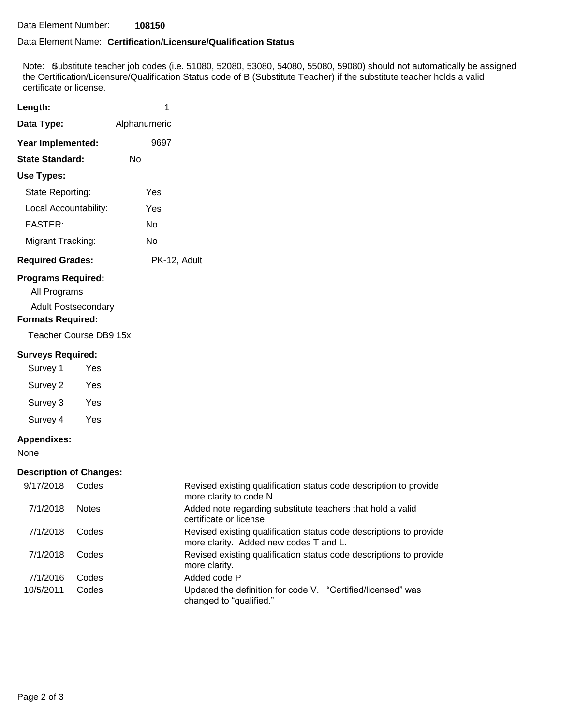### Data Element Name: **Certification/Licensure/Qualification Status**

 the Certification/Licensure/Qualification Status code of B (Substitute Teacher) if the substitute teacher holds a valid Note: Gubstitute teacher job codes (i.e. 51080, 52080, 53080, 54080, 55080, 59080) should not automatically be assigned certificate or license.

| Length:                 | 1            |
|-------------------------|--------------|
| Data Type:              | Alphanumeric |
| Year Implemented:       | 9697         |
| <b>State Standard:</b>  | N٥           |
| Use Types:              |              |
| State Reporting:        | Yes          |
| Local Accountability:   | Yes          |
| <b>FASTER:</b>          | N٥           |
| Migrant Tracking:       | No           |
| <b>Required Grades:</b> | PK-12, Adult |

# **Programs Required:**

All Programs

Adult Postsecondary

# **Formats Required:**

Teacher Course DB9 15x

#### **Surveys Required:**

Survey 1 Yes Survey 2 Yes

Survey 3 Yes

Survey 4 Yes

## **Appendixes:**

None

## **Description of Changes:**

| 9/17/2018 | Codes        | Revised existing qualification status code description to provide<br>more clarity to code N.                 |
|-----------|--------------|--------------------------------------------------------------------------------------------------------------|
| 7/1/2018  | <b>Notes</b> | Added note regarding substitute teachers that hold a valid<br>certificate or license.                        |
| 7/1/2018  | Codes        | Revised existing qualification status code descriptions to provide<br>more clarity. Added new codes T and L. |
| 7/1/2018  | Codes        | Revised existing qualification status code descriptions to provide<br>more clarity.                          |
| 7/1/2016  | Codes        | Added code P                                                                                                 |
| 10/5/2011 | Codes        | Updated the definition for code V. "Certified/licensed" was<br>changed to "qualified."                       |